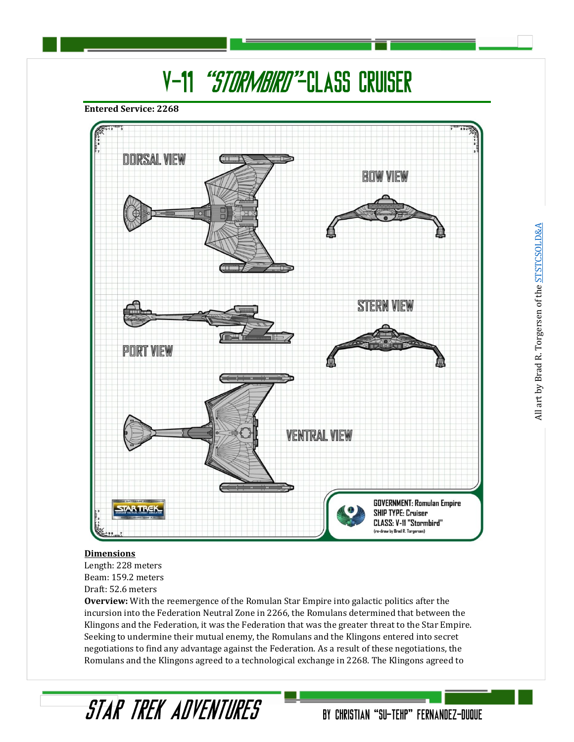## V-11 "STORMBIRD"-CLASS CRUISER

**Entered Service: 2268**



#### **Dimensions**

Length: 228 meters Beam: 159.2 meters Draft: 52.6 meters

STAR TREK ADVENTURES

**Overview:** With the reemergence of the Romulan Star Empire into galactic politics after the incursion into the Federation Neutral Zone in 2266, the Romulans determined that between the Klingons and the Federation, it was the Federation that was the greater threat to the Star Empire. Seeking to undermine their mutual enemy, the Romulans and the Klingons entered into secret negotiations to find any advantage against the Federation. As a result of these negotiations, the Romulans and the Klingons agreed to a technological exchange in 2268. The Klingons agreed to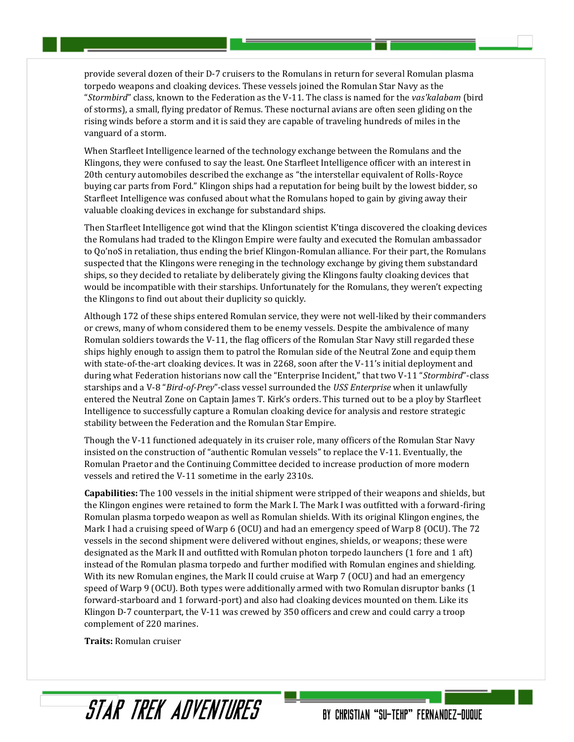provide several dozen of their D-7 cruisers to the Romulans in return for several Romulan plasma torpedo weapons and cloaking devices. These vessels joined the Romulan Star Navy as the "*Stormbird*" class, known to the Federation as the V-11. The class is named for the *vas'kalabam* (bird of storms), a small, flying predator of Remus. These nocturnal avians are often seen gliding on the rising winds before a storm and it is said they are capable of traveling hundreds of miles in the vanguard of a storm.

When Starfleet Intelligence learned of the technology exchange between the Romulans and the Klingons, they were confused to say the least. One Starfleet Intelligence officer with an interest in 20th century automobiles described the exchange as "the interstellar equivalent of Rolls-Royce buying car parts from Ford." Klingon ships had a reputation for being built by the lowest bidder, so Starfleet Intelligence was confused about what the Romulans hoped to gain by giving away their valuable cloaking devices in exchange for substandard ships.

Then Starfleet Intelligence got wind that the Klingon scientist K'tinga discovered the cloaking devices the Romulans had traded to the Klingon Empire were faulty and executed the Romulan ambassador to Qo'noS in retaliation, thus ending the brief Klingon-Romulan alliance. For their part, the Romulans suspected that the Klingons were reneging in the technology exchange by giving them substandard ships, so they decided to retaliate by deliberately giving the Klingons faulty cloaking devices that would be incompatible with their starships. Unfortunately for the Romulans, they weren't expecting the Klingons to find out about their duplicity so quickly.

Although 172 of these ships entered Romulan service, they were not well-liked by their commanders or crews, many of whom considered them to be enemy vessels. Despite the ambivalence of many Romulan soldiers towards the V-11, the flag officers of the Romulan Star Navy still regarded these ships highly enough to assign them to patrol the Romulan side of the Neutral Zone and equip them with state-of-the-art cloaking devices. It was in 2268, soon after the V-11's initial deployment and during what Federation historians now call the "Enterprise Incident," that two V-11 "*Stormbird*"-class starships and a V-8 "*Bird-of-Prey*"-class vessel surrounded the *USS Enterprise* when it unlawfully entered the Neutral Zone on Captain James T. Kirk's orders. This turned out to be a ploy by Starfleet Intelligence to successfully capture a Romulan cloaking device for analysis and restore strategic stability between the Federation and the Romulan Star Empire.

Though the V-11 functioned adequately in its cruiser role, many officers of the Romulan Star Navy insisted on the construction of "authentic Romulan vessels" to replace the V-11. Eventually, the Romulan Praetor and the Continuing Committee decided to increase production of more modern vessels and retired the V-11 sometime in the early 2310s.

**Capabilities:** The 100 vessels in the initial shipment were stripped of their weapons and shields, but the Klingon engines were retained to form the Mark I. The Mark I was outfitted with a forward-firing Romulan plasma torpedo weapon as well as Romulan shields. With its original Klingon engines, the Mark I had a cruising speed of Warp 6 (OCU) and had an emergency speed of Warp 8 (OCU). The 72 vessels in the second shipment were delivered without engines, shields, or weapons; these were designated as the Mark II and outfitted with Romulan photon torpedo launchers (1 fore and 1 aft) instead of the Romulan plasma torpedo and further modified with Romulan engines and shielding. With its new Romulan engines, the Mark II could cruise at Warp 7 (OCU) and had an emergency speed of Warp 9 (OCU). Both types were additionally armed with two Romulan disruptor banks (1 forward-starboard and 1 forward-port) and also had cloaking devices mounted on them. Like its Klingon D-7 counterpart, the V-11 was crewed by 350 officers and crew and could carry a troop complement of 220 marines.

**Traits:** Romulan cruiser

### STAR TREK ANVENTURES